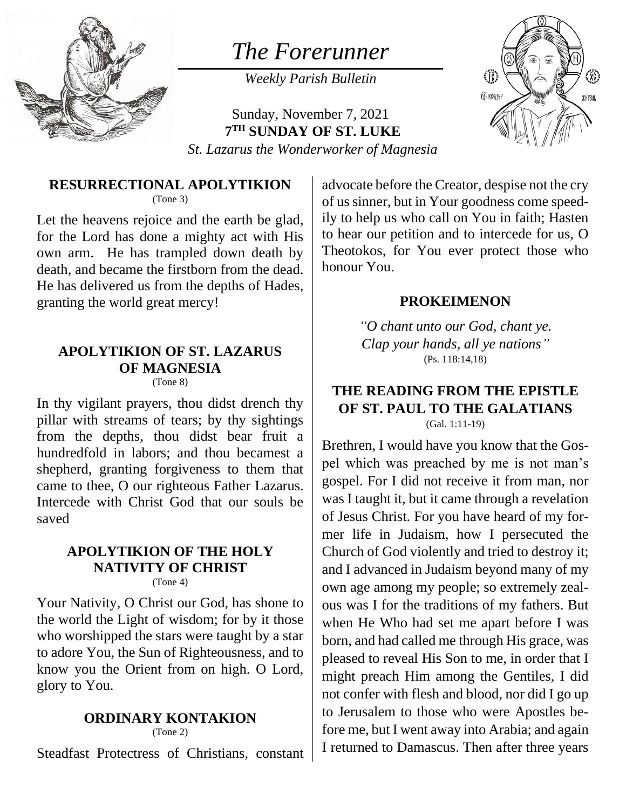

# *The Forerunner*

*Weekly Parish Bulletin*



Sunday, November 7, 2021 **7 TH SUNDAY OF ST. LUKE** *St. Lazarus the Wonderworker of Magnesia*

#### **RESURRECTIONAL APOLYTIKION** (Tone 3)

Let the heavens rejoice and the earth be glad, for the Lord has done a mighty act with His own arm. He has trampled down death by death, and became the firstborn from the dead. He has delivered us from the depths of Hades, granting the world great mercy!

### **APOLYTIKION OF ST. LAZARUS OF MAGNESIA**

(Tone 8)

In thy vigilant prayers, thou didst drench thy pillar with streams of tears; by thy sightings from the depths, thou didst bear fruit a hundredfold in labors; and thou becamest a shepherd, granting forgiveness to them that came to thee, O our righteous Father Lazarus. Intercede with Christ God that our souls be saved

### **APOLYTIKION OF THE HOLY NATIVITY OF CHRIST**

(Tone 4)

Your Nativity, O Christ our God, has shone to the world the Light of wisdom; for by it those who worshipped the stars were taught by a star to adore You, the Sun of Righteousness, and to know you the Orient from on high. O Lord, glory to You.

#### **ORDINARY KONTAKION**

(Tone 2)

Steadfast Protectress of Christians, constant

advocate before the Creator, despise not the cry of us sinner, but in Your goodness come speedily to help us who call on You in faith; Hasten to hear our petition and to intercede for us, O Theotokos, for You ever protect those who honour You.

#### **PROKEIMENON**

*"O chant unto our God, chant ye. Clap your hands, all ye nations"* (Ps. 118:14,18)

#### **THE READING FROM THE EPISTLE OF ST. PAUL TO THE GALATIANS** (Gal. 1:11-19)

Brethren, I would have you know that the Gospel which was preached by me is not man's gospel. For I did not receive it from man, nor was I taught it, but it came through a revelation of Jesus Christ. For you have heard of my former life in Judaism, how I persecuted the Church of God violently and tried to destroy it; and I advanced in Judaism beyond many of my own age among my people; so extremely zealous was I for the traditions of my fathers. But when He Who had set me apart before I was born, and had called me through His grace, was pleased to reveal His Son to me, in order that I might preach Him among the Gentiles, I did not confer with flesh and blood, nor did I go up to Jerusalem to those who were Apostles before me, but I went away into Arabia; and again I returned to Damascus. Then after three years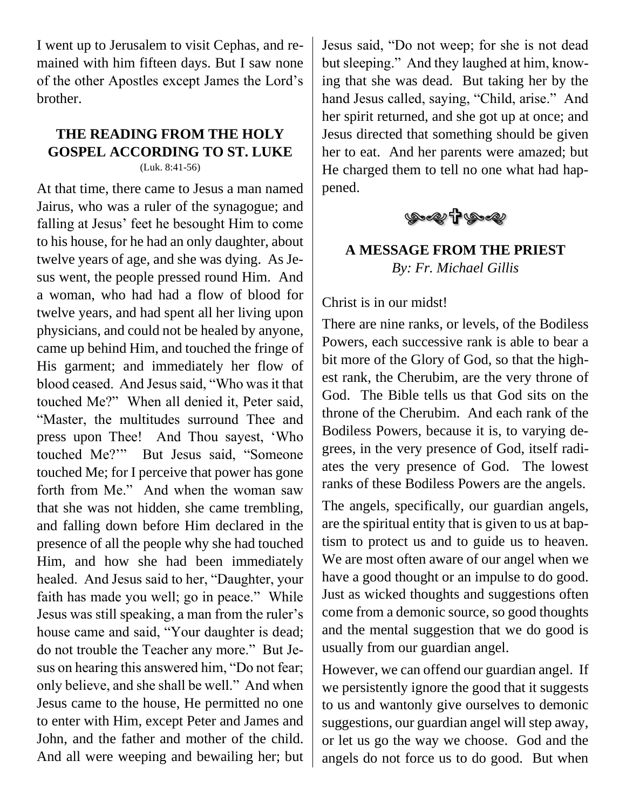I went up to Jerusalem to visit Cephas, and remained with him fifteen days. But I saw none of the other Apostles except James the Lord's brother.

## **THE READING FROM THE HOLY GOSPEL ACCORDING TO ST. LUKE**

(Luk. 8:41-56)

At that time, there came to Jesus a man named Jairus, who was a ruler of the synagogue; and falling at Jesus' feet he besought Him to come to his house, for he had an only daughter, about twelve years of age, and she was dying. As Jesus went, the people pressed round Him. And a woman, who had had a flow of blood for twelve years, and had spent all her living upon physicians, and could not be healed by anyone, came up behind Him, and touched the fringe of His garment; and immediately her flow of blood ceased. And Jesus said, "Who was it that touched Me?" When all denied it, Peter said, "Master, the multitudes surround Thee and press upon Thee! And Thou sayest, 'Who touched Me?'" But Jesus said, "Someone touched Me; for I perceive that power has gone forth from Me." And when the woman saw that she was not hidden, she came trembling, and falling down before Him declared in the presence of all the people why she had touched Him, and how she had been immediately healed. And Jesus said to her, "Daughter, your faith has made you well; go in peace." While Jesus was still speaking, a man from the ruler's house came and said, "Your daughter is dead; do not trouble the Teacher any more." But Jesus on hearing this answered him, "Do not fear; only believe, and she shall be well." And when Jesus came to the house, He permitted no one to enter with Him, except Peter and James and John, and the father and mother of the child. And all were weeping and bewailing her; but

Jesus said, "Do not weep; for she is not dead but sleeping." And they laughed at him, knowing that she was dead. But taking her by the hand Jesus called, saying, "Child, arise." And her spirit returned, and she got up at once; and Jesus directed that something should be given her to eat. And her parents were amazed; but He charged them to tell no one what had happened.



### **A MESSAGE FROM THE PRIEST** *By: Fr. Michael Gillis*

Christ is in our midst!

There are nine ranks, or levels, of the Bodiless Powers, each successive rank is able to bear a bit more of the Glory of God, so that the highest rank, the Cherubim, are the very throne of God. The Bible tells us that God sits on the throne of the Cherubim. And each rank of the Bodiless Powers, because it is, to varying degrees, in the very presence of God, itself radiates the very presence of God. The lowest ranks of these Bodiless Powers are the angels.

The angels, specifically, our guardian angels, are the spiritual entity that is given to us at baptism to protect us and to guide us to heaven. We are most often aware of our angel when we have a good thought or an impulse to do good. Just as wicked thoughts and suggestions often come from a demonic source, so good thoughts and the mental suggestion that we do good is usually from our guardian angel.

However, we can offend our guardian angel. If we persistently ignore the good that it suggests to us and wantonly give ourselves to demonic suggestions, our guardian angel will step away, or let us go the way we choose. God and the angels do not force us to do good. But when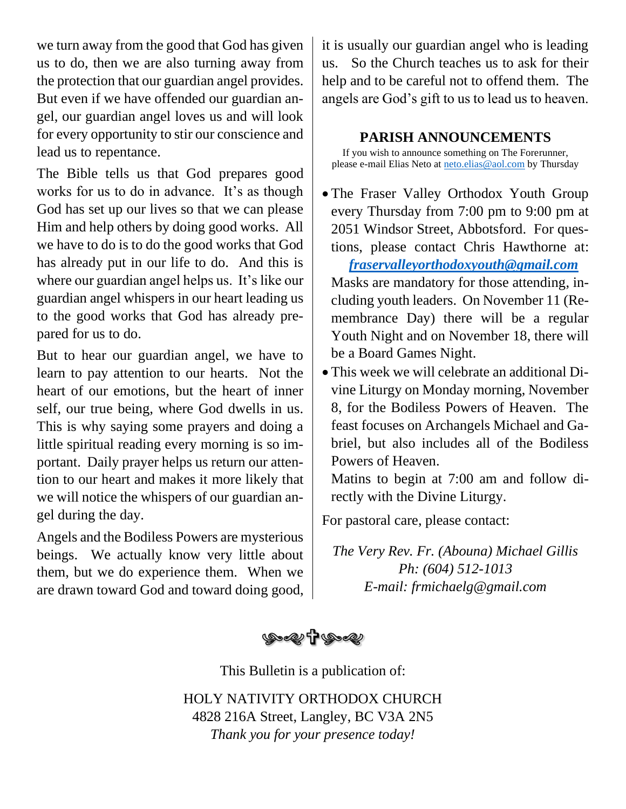we turn away from the good that God has given us to do, then we are also turning away from the protection that our guardian angel provides. But even if we have offended our guardian angel, our guardian angel loves us and will look for every opportunity to stir our conscience and lead us to repentance.

The Bible tells us that God prepares good works for us to do in advance. It's as though God has set up our lives so that we can please Him and help others by doing good works. All we have to do is to do the good works that God has already put in our life to do. And this is where our guardian angel helps us. It's like our guardian angel whispers in our heart leading us to the good works that God has already prepared for us to do.

But to hear our guardian angel, we have to learn to pay attention to our hearts. Not the heart of our emotions, but the heart of inner self, our true being, where God dwells in us. This is why saying some prayers and doing a little spiritual reading every morning is so important. Daily prayer helps us return our attention to our heart and makes it more likely that we will notice the whispers of our guardian angel during the day.

Angels and the Bodiless Powers are mysterious beings. We actually know very little about them, but we do experience them. When we are drawn toward God and toward doing good, it is usually our guardian angel who is leading us. So the Church teaches us to ask for their help and to be careful not to offend them. The angels are God's gift to us to lead us to heaven.

#### **PARISH ANNOUNCEMENTS**

If you wish to announce something on The Forerunner, please e-mail Elias Neto at [neto.elias@aol.com](mailto:neto.elias@aol.com) by Thursday

• The Fraser Valley Orthodox Youth Group every Thursday from 7:00 pm to 9:00 pm at 2051 Windsor Street, Abbotsford. For questions, please contact Chris Hawthorne at:

 *[fraservalleyorthodoxyouth@gmail.com](mailto:fraservalleyorthodoxyouth@gmail.com)* Masks are mandatory for those attending, including youth leaders. On November 11 (Remembrance Day) there will be a regular Youth Night and on November 18, there will be a Board Games Night.

• This week we will celebrate an additional Divine Liturgy on Monday morning, November 8, for the Bodiless Powers of Heaven. The feast focuses on Archangels Michael and Gabriel, but also includes all of the Bodiless Powers of Heaven.

Matins to begin at 7:00 am and follow directly with the Divine Liturgy.

For pastoral care, please contact:

*The Very Rev. Fr. (Abouna) Michael Gillis Ph: (604) 512-1013 E-mail: frmichaelg@gmail.com*



This Bulletin is a publication of:

HOLY NATIVITY ORTHODOX CHURCH 4828 216A Street, Langley, BC V3A 2N5 *Thank you for your presence today!*